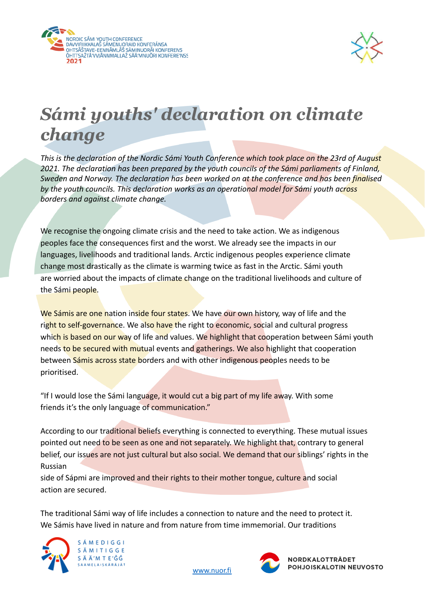



## *Sámi youths' declaration on climate change*

*This is the declaration of the Nordic Sámi Youth Conference which took place on the 23rd of August 2021. The declaration has been prepared by the youth councils of the Sámi parliaments of Finland, Sweden and Norway. The declaration has been worked on at the conference and has been finalised by the youth councils. This declaration works as an operational model for Sámi youth across borders and against climate change.*

We recognise the ongoing climate crisis and the need to take action. We as indigenous peoples face the consequences first and the worst. We already see the impacts in our languages, livelihoods and traditional lands. Arctic indigenous peoples experience climate change most drastically as the climate is warming twice as fast in the Arctic. Sámi youth are worried about the impacts of climate change on the traditional livelihoods and culture of the Sámi people.

We Sámis are one nation inside four states. We have our own history, way of life and the right to self-governance. We also have the right to economic, social and cultural progress which is based on our way of life and values. We highlight that cooperation between Sámi youth needs to be secured with mutual events and gatherings. We also highlight that cooperation between Sámis across state borders and with other indigenous peoples needs to be prioritised.

"If I would lose the Sámi language, it would cut a big part of my life away. With some friends it's the only language of communication."

According to our traditional beliefs everything is connected to everything. These mutual issues pointed out need to be seen as one and not separately. We highlight that, contrary to general belief, our issues are not just cultural but also social. We demand that our siblings' rights in the Russian

side of Sápmi are improved and their rights to their mother tongue, culture and social action are secured.

The traditional Sámi way of life includes a connection to nature and the need to protect it. We Sámis have lived in nature and from nature from time immemorial. Our traditions



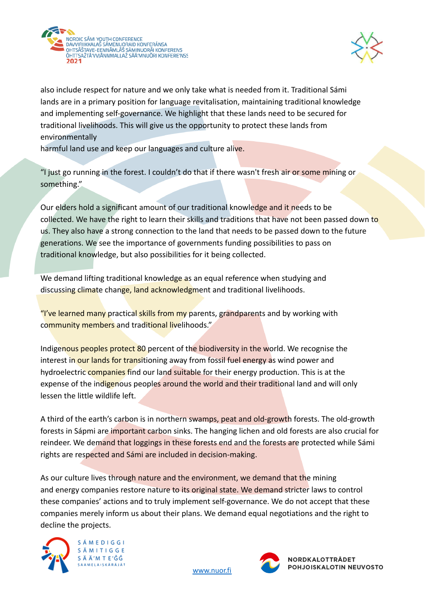



also include respect for nature and we only take what is needed from it. Traditional Sámi lands are in a primary position for language revitalisation, maintaining traditional knowledge and implementing self-governance. We highlight that these lands need to be secured for traditional livelihoods. This will give us the opportunity to protect these lands from environmentally

harmful land use and keep our languages and culture alive.

"I just go running in the forest. I couldn't do that if there wasn't fresh air or some mining or something."

Our elders hold a significant amount of our traditional knowledge and it needs to be collected. We have the right to learn their skills and traditions that have not been passed down to us. They also have a strong connection to the land that needs to be passed down to the future generations. We see the importance of governments funding possibilities to pass on traditional knowledge, but also possibilities for it being collected.

We demand lifting traditional knowledge as an equal reference when studying and discussing climate change, land acknowledgment and traditional livelihoods.

"I've learned many practical skills from my parents, grandparents and by working with community members and traditional livelihoods."

Indigenous peoples protect 80 percent of the biodiversity in the world. We recognise the interest in our lands for transitioning away from fossil fuel energy as wind power and hydroelectric companies find our land suitable for their energy production. This is at the expense of the indigenous peoples around the world and their traditional land and will only lessen the little wildlife left.

A third of the earth's carbon is in northern swamps, peat and old-growth forests. The old-growth forests in Sápmi are important carbon sinks. The hanging lichen and old forests are also crucial for reindeer. We demand that loggings in these forests end and the forests are protected while Sámi rights are respected and Sámi are included in decision-making.

As our culture lives through nature and the environment, we demand that the mining and energy companies restore nature to its original state. We demand stricter laws to control these companies' actions and to truly implement self-governance. We do not accept that these companies merely inform us about their plans. We demand equal negotiations and the right to decline the projects.



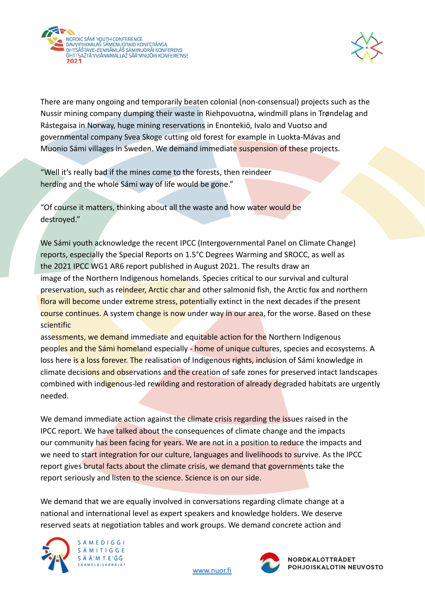



There are many ongoing and temporarily beaten colonial (non-consensual) projects such as the Nussir mining company dumping their waste in Riehpovuotna, windmill plans in Trøndelag and Rástegaisa in Norway, huge mining reservations in Enontekiö, Ivalo and Vuotso and governmental company Svea Skoge cutting old forest for example in Luokta-Mávas and Muonio Sámi villages in Sweden. We demand immediate suspension of these projects.

"Well it's really bad if the mines come to the forests, then reindeer herding and the whole Sámi way of life would be gone."

"Of course it matters, thinking about all the waste and how water would be destroyed."

We Sámi youth acknowledge the recent IPCC (Intergovernmental Panel on Climate Change) reports, especially the Special Reports on 1.5°C Degrees Warming and SROCC, as well as the 2021 IPCC WG1 AR6 report published in August 2021. The results draw an image of the Northern Indigenous homelands. Species critical to our survival and cultural preservation, such as reindeer, Arctic char and other salmonid fish, the Arctic fox and northern flora will become under extreme stress, potentially extinct in the next decades if the present course continues. A system change is now under way in our area, for the worse. Based on these scientific

assessments, we demand immediate and equitable action for the Northern Indigenous peoples and the Sámi homeland especially - home of unique cultures, species and ecosystems. A loss here is a loss forever. The realisation of Indigenous rights, inclusion of Sámi knowledge in climate decisions and observations and the creation of safe zones for preserved intact landscapes combined with indigenous-led rewilding and restoration of already degraded habitats are urgently needed.

We demand immediate action against the climate crisis regarding the issues raised in the IPCC report. We have talked about the consequences of climate change and the impacts our community has been facing for years. We are not in a position to reduce the impacts and we need to start integration for our culture, languages and livelihoods to survive. As the IPCC report gives brutal facts about the climate crisis, we demand that governments take the report seriously and listen to the science. Science is on our side.

We demand that we are equally involved in conversations regarding climate change at a national and international level as expert speakers and knowledge holders. We deserve reserved seats at negotiation tables and work groups. We demand concrete action and



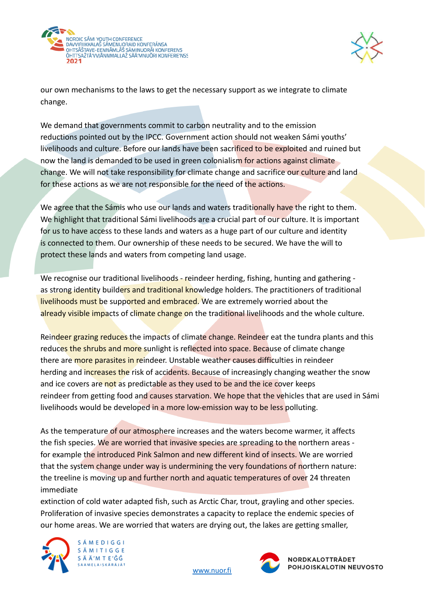



our own mechanisms to the laws to get the necessary support as we integrate to climate change.

We demand that governments commit to carbon neutrality and to the emission reductions pointed out by the IPCC. Government action should not weaken Sámi youths' livelihoods and culture. Before our lands have been sacrificed to be exploited and ruined but now the land is demanded to be used in green colonialism for actions against climate change. We will not take responsibility for climate change and sacrifice our culture and land for these actions as we are not responsible for the need of the actions.

We agree that the Sámis who use our lands and waters traditionally have the right to them. We highlight that traditional Sámi livelihoods are a crucial part of our culture. It is important for us to have access to these lands and waters as a huge part of our culture and identity is connected to them. Our ownership of these needs to be secured. We have the will to protect these lands and waters from competing land usage.

We recognise our traditional livelihoods - reindeer herding, fishing, hunting and gathering as strong identity builders and traditional knowledge holders. The practitioners of traditional livelihoods must be supported and embraced. We are extremely worried about the already visible impacts of climate change on the traditional livelihoods and the whole culture.

Reindeer grazing reduces the impacts of climate change. Reindeer eat the tundra plants and this reduces the shrubs and more sunlight is reflected into space. Because of climate change there are more parasites in reindeer. Unstable weather causes difficulties in reindeer herding and increases the risk of accidents. Because of increasingly changing weather the snow and ice covers are not as predictable as they used to be and the ice cover keeps reindeer from getting food and causes starvation. We hope that the vehicles that are used in Sámi livelihoods would be developed in a more low-emission way to be less polluting.

As the temperature of our atmosphere increases and the waters become warmer, it affects the fish species. We are worried that invasive species are spreading to the northern areas for example the introduced Pink Salmon and new different kind of insects. We are worried that the system change under way is undermining the very foundations of northern nature: the treeline is moving up and further north and aquatic temperatures of over 24 threaten immediate

extinction of cold water adapted fish, such as Arctic Char, trout, grayling and other species. Proliferation of invasive species demonstrates a capacity to replace the endemic species of our home areas. We are worried that waters are drying out, the lakes are getting smaller,



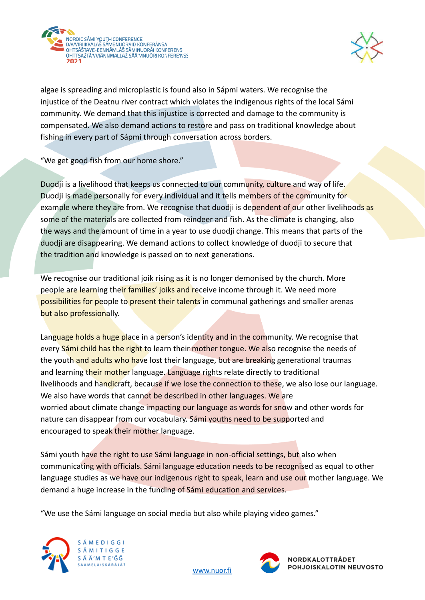



algae is spreading and microplastic is found also in Sápmi waters. We recognise the injustice of the Deatnu river contract which violates the indigenous rights of the local Sámi community. We demand that this injustice is corrected and damage to the community is compensated. We also demand actions to restore and pass on traditional knowledge about fishing in every part of Sápmi through conversation across borders.

"We get good fish from our home shore."

Duodji is a livelihood that keeps us connected to our community, culture and way of life. Duodji is made personally for every individual and it tells members of the community for example where they are from. We recognise that duodji is dependent of our other livelihoods as some of the materials are collected from reindeer and fish. As the climate is changing, also the ways and the amount of time in a year to use duodji change. This means that parts of the duodji are disappearing. We demand actions to collect knowledge of duodji to secure that the tradition and knowledge is passed on to next generations.

We recognise our traditional joik rising as it is no longer demonised by the church. More people are learning their families' joiks and receive income through it. We need more possibilities for people to present their talents in communal gatherings and smaller arenas but also professionally.

Language holds a huge place in a person's identity and in the community. We recognise that every Sámi child has the right to learn their mother tongue. We also recognise the needs of the youth and adults who have lost their language, but are breaking generational traumas and learning their mother language. Language rights relate directly to traditional livelihoods and handicraft, because if we lose the connection to these, we also lose our language. We also have words that cannot be described in other languages. We are worried about climate change impacting our language as words for snow and other words for nature can disappear from our vocabulary. Sámi youths need to be supported and encouraged to speak their mother language.

Sámi youth have the right to use Sámi language in non-official settings, but also when communicating with officials. Sámi language education needs to be recognised as equal to other language studies as we have our indigenous right to speak, learn and use our mother language. We demand a huge increase in the funding of Sámi education and services.

"We use the Sámi language on social media but also while playing video games."